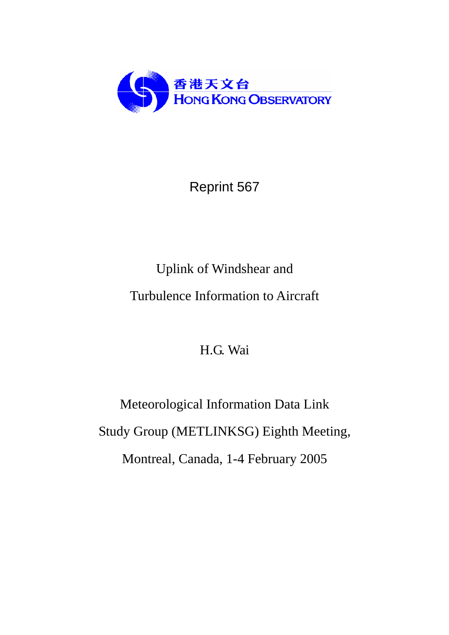

# Reprint 567

# Uplink of Windshear and Turbulence Information to Aircraft

# H.G. Wai

Meteorological Information Data Link Study Group (METLINKSG) Eighth Meeting, Montreal, Canada, 1-4 February 2005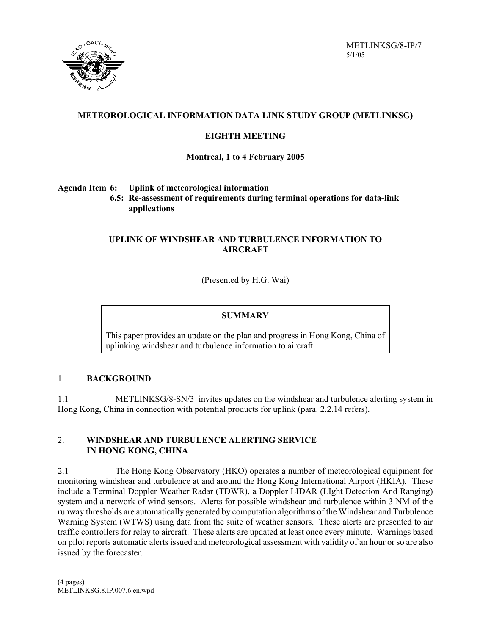

METLINKSG/8-IP/7 5/1/05

# **METEOROLOGICAL INFORMATION DATA LINK STUDY GROUP (METLINKSG)**

# **EIGHTH MEETING**

### **Montreal, 1 to 4 February 2005**

**Agenda Item 6: Uplink of meteorological information**

**6.5: Re-assessment of requirements during terminal operations for data-link applications**

## **UPLINK OF WINDSHEAR AND TURBULENCE INFORMATION TO AIRCRAFT**

(Presented by H.G. Wai)

#### **SUMMARY**

This paper provides an update on the plan and progress in Hong Kong, China of uplinking windshear and turbulence information to aircraft.

#### 1. **BACKGROUND**

1.1 METLINKSG/8-SN/3 invites updates on the windshear and turbulence alerting system in Hong Kong, China in connection with potential products for uplink (para. 2.2.14 refers).

# 2. **WINDSHEAR AND TURBULENCE ALERTING SERVICE IN HONG KONG, CHINA**

2.1 The Hong Kong Observatory (HKO) operates a number of meteorological equipment for monitoring windshear and turbulence at and around the Hong Kong International Airport (HKIA). These include a Terminal Doppler Weather Radar (TDWR), a Doppler LIDAR (LIght Detection And Ranging) system and a network of wind sensors. Alerts for possible windshear and turbulence within 3 NM of the runway thresholds are automatically generated by computation algorithms of the Windshear and Turbulence Warning System (WTWS) using data from the suite of weather sensors. These alerts are presented to air traffic controllers for relay to aircraft. These alerts are updated at least once every minute. Warnings based on pilot reports automatic alerts issued and meteorological assessment with validity of an hour or so are also issued by the forecaster.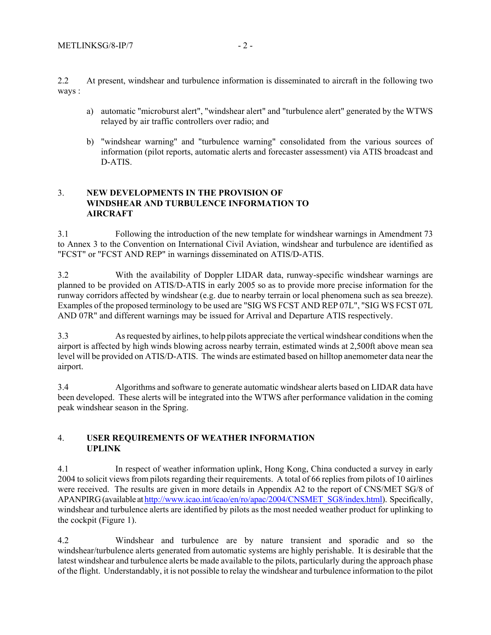2.2 At present, windshear and turbulence information is disseminated to aircraft in the following two ways :

- a) automatic "microburst alert", "windshear alert" and "turbulence alert" generated by the WTWS relayed by air traffic controllers over radio; and
- b) "windshear warning" and "turbulence warning" consolidated from the various sources of information (pilot reports, automatic alerts and forecaster assessment) via ATIS broadcast and D-ATIS.

#### 3. **NEW DEVELOPMENTS IN THE PROVISION OF WINDSHEAR AND TURBULENCE INFORMATION TO AIRCRAFT**

3.1 Following the introduction of the new template for windshear warnings in Amendment 73 to Annex 3 to the Convention on International Civil Aviation, windshear and turbulence are identified as "FCST" or "FCST AND REP" in warnings disseminated on ATIS/D-ATIS.

3.2 With the availability of Doppler LIDAR data, runway-specific windshear warnings are planned to be provided on ATIS/D-ATIS in early 2005 so as to provide more precise information for the runway corridors affected by windshear (e.g. due to nearby terrain or local phenomena such as sea breeze). Examples of the proposed terminology to be used are "SIG WS FCST AND REP 07L", "SIG WS FCST 07L AND 07R" and different warnings may be issued for Arrival and Departure ATIS respectively.

3.3 As requested by airlines, to help pilots appreciate the vertical windshear conditions when the airport is affected by high winds blowing across nearby terrain, estimated winds at 2,500ft above mean sea level will be provided on ATIS/D-ATIS. The winds are estimated based on hilltop anemometer data near the airport.

3.4 Algorithms and software to generate automatic windshear alerts based on LIDAR data have been developed. These alerts will be integrated into the WTWS after performance validation in the coming peak windshear season in the Spring.

### 4. **USER REQUIREMENTS OF WEATHER INFORMATION UPLINK**

4.1 In respect of weather information uplink, Hong Kong, China conducted a survey in early 2004 to solicit views from pilots regarding their requirements. A total of 66 replies from pilots of 10 airlines were received. The results are given in more details in Appendix A2 to the report of CNS/MET SG/8 of APANPIRG (available at http://www.icao.int/icao/en/ro/apac/2004/CNSMET\_SG8/index.html). Specifically, windshear and turbulence alerts are identified by pilots as the most needed weather product for uplinking to the cockpit (Figure 1).

4.2 Windshear and turbulence are by nature transient and sporadic and so the windshear/turbulence alerts generated from automatic systems are highly perishable. It is desirable that the latest windshear and turbulence alerts be made available to the pilots, particularly during the approach phase of the flight. Understandably, it is not possible to relay the windshear and turbulence information to the pilot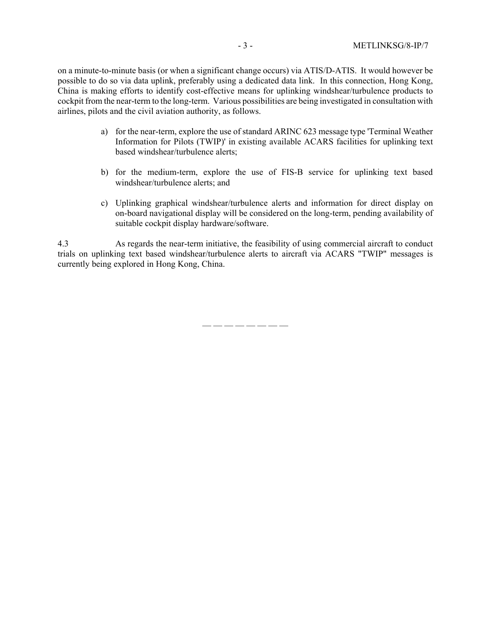on a minute-to-minute basis (or when a significant change occurs) via ATIS/D-ATIS. It would however be possible to do so via data uplink, preferably using a dedicated data link. In this connection, Hong Kong, China is making efforts to identify cost-effective means for uplinking windshear/turbulence products to cockpit from the near-term to the long-term. Various possibilities are being investigated in consultation with airlines, pilots and the civil aviation authority, as follows.

- a) for the near-term, explore the use of standard ARINC 623 message type 'Terminal Weather Information for Pilots (TWIP)' in existing available ACARS facilities for uplinking text based windshear/turbulence alerts;
- b) for the medium-term, explore the use of FIS-B service for uplinking text based windshear/turbulence alerts; and
- c) Uplinking graphical windshear/turbulence alerts and information for direct display on on-board navigational display will be considered on the long-term, pending availability of suitable cockpit display hardware/software.

4.3 As regards the near-term initiative, the feasibility of using commercial aircraft to conduct trials on uplinking text based windshear/turbulence alerts to aircraft via ACARS "TWIP" messages is currently being explored in Hong Kong, China.

— — — — — — — —